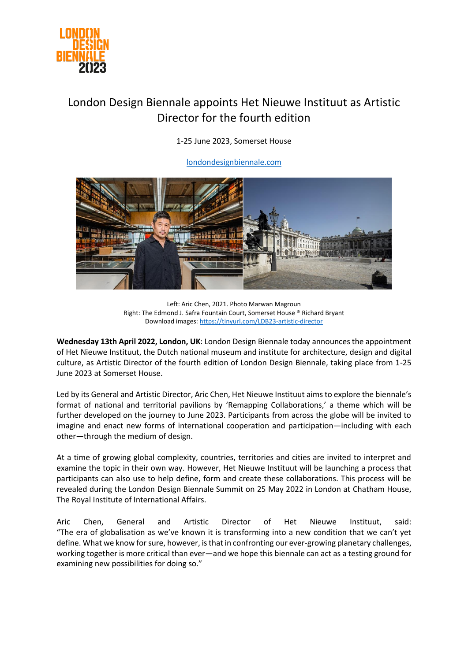

## London Design Biennale appoints Het Nieuwe Instituut as Artistic Director for the fourth edition

1-25 June 2023, Somerset House

[londondesignbiennale.com](http://www.londondesignbiennale.com/)



Left: Aric Chen, 2021. Photo Marwan Magroun Right: The Edmond J. Safra Fountain Court, Somerset House ® Richard Bryant Download images[: https://tinyurl.com/LDB23-artistic-director](https://tinyurl.com/LDB23-artistic-director)

**Wednesday 13th April 2022, London, UK**: London Design Biennale today announces the appointment of Het Nieuwe Instituut, the Dutch national museum and institute for architecture, design and digital culture, as Artistic Director of the fourth edition of London Design Biennale, taking place from 1-25 June 2023 at Somerset House.

Led by its General and Artistic Director, Aric Chen, Het Nieuwe Instituut aims to explore the biennale's format of national and territorial pavilions by 'Remapping Collaborations,' a theme which will be further developed on the journey to June 2023. Participants from across the globe will be invited to imagine and enact new forms of international cooperation and participation—including with each other—through the medium of design.

At a time of growing global complexity, countries, territories and cities are invited to interpret and examine the topic in their own way. However, Het Nieuwe Instituut will be launching a process that participants can also use to help define, form and create these collaborations. This process will be revealed during the London Design Biennale Summit on 25 May 2022 in London at Chatham House, The Royal Institute of International Affairs.

Aric Chen, General and Artistic Director of Het Nieuwe Instituut, said: "The era of globalisation as we've known it is transforming into a new condition that we can't yet define. What we know for sure, however, is that in confronting our ever-growing planetary challenges, working together is more critical than ever—and we hope this biennale can act as a testing ground for examining new possibilities for doing so."